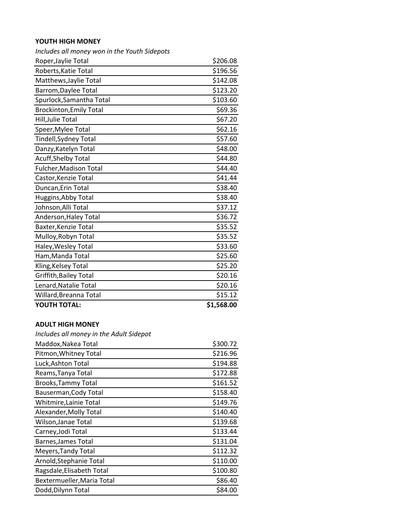## **YOUTH HIGH MONEY**

| Includes all money won in the Youth Sidepots |            |
|----------------------------------------------|------------|
| Roper, Jaylie Total                          | \$206.08   |
| Roberts, Katie Total                         | \$196.56   |
| Matthews, Jaylie Total                       | \$142.08   |
| Barrom, Daylee Total                         | \$123.20   |
| Spurlock, Samantha Total                     | \$103.60   |
| <b>Brockinton, Emily Total</b>               | \$69.36    |
| Hill, Julie Total                            | \$67.20    |
| Speer, Mylee Total                           | \$62.16    |
| Tindell, Sydney Total                        | \$57.60    |
| Danzy, Katelyn Total                         | \$48.00    |
| <b>Acuff, Shelby Total</b>                   | \$44.80    |
| Fulcher, Madison Total                       | \$44.40    |
| Castor, Kenzie Total                         | \$41.44    |
| Duncan, Erin Total                           | \$38.40    |
| Huggins, Abby Total                          | \$38.40    |
| Johnson, Alli Total                          | \$37.12    |
| Anderson, Haley Total                        | \$36.72    |
| Baxter, Kenzie Total                         | \$35.52    |
| Mulloy, Robyn Total                          | \$35.52    |
| Haley, Wesley Total                          | \$33.60    |
| Ham, Manda Total                             | \$25.60    |
| Kling, Kelsey Total                          | \$25.20    |
| <b>Griffith, Bailey Total</b>                | \$20.16    |
| Lenard, Natalie Total                        | \$20.16    |
| Willard, Breanna Total                       | \$15.12    |
| <b>YOUTH TOTAL:</b>                          | \$1,568.00 |

## **ADULT HIGH MONEY**

| Includes all money in the Adult Sidepot |  |  |  |  |
|-----------------------------------------|--|--|--|--|
|-----------------------------------------|--|--|--|--|

| Maddox, Nakea Total        | \$300.72 |
|----------------------------|----------|
| Pitmon, Whitney Total      | \$216.96 |
| Luck, Ashton Total         | \$194.88 |
| Reams, Tanya Total         | \$172.88 |
| Brooks, Tammy Total        | \$161.52 |
| Bauserman, Cody Total      | \$158.40 |
| Whitmire, Lainie Total     | \$149.76 |
| Alexander, Molly Total     | \$140.40 |
| Wilson, Janae Total        | \$139.68 |
| Carney, Jodi Total         | \$133.44 |
| Barnes, James Total        | \$131.04 |
| Meyers, Tandy Total        | \$112.32 |
| Arnold, Stephanie Total    | \$110.00 |
| Ragsdale, Elisabeth Total  | \$100.80 |
| Bextermueller, Maria Total | \$86.40  |
| Dodd, Dilynn Total         | \$84.00  |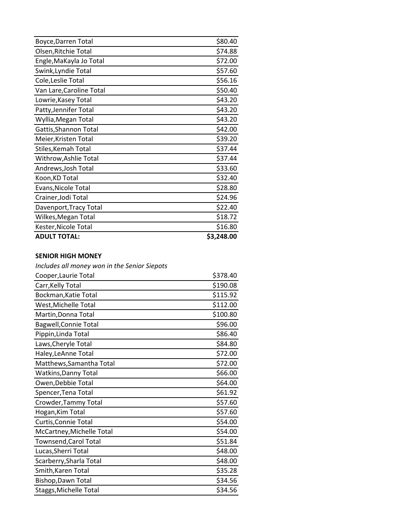| <b>ADULT TOTAL:</b>        | \$3,248.00 |
|----------------------------|------------|
| Kester, Nicole Total       | \$16.80    |
| Wilkes, Megan Total        | \$18.72    |
| Davenport, Tracy Total     | \$22.40    |
| Crainer, Jodi Total        | \$24.96    |
| Evans, Nicole Total        | \$28.80    |
| Koon, KD Total             | \$32.40    |
| Andrews, Josh Total        | \$33.60    |
| Withrow, Ashlie Total      | \$37.44    |
| Stiles, Kemah Total        | \$37.44    |
| Meier, Kristen Total       | \$39.20    |
| Gattis, Shannon Total      | \$42.00    |
| Wyllia, Megan Total        | \$43.20    |
| Patty, Jennifer Total      | \$43.20    |
| Lowrie, Kasey Total        | \$43.20    |
| Van Lare, Caroline Total   | \$50.40    |
| Cole, Leslie Total         | \$56.16    |
| Swink, Lyndie Total        | \$57.60    |
| Engle, MaKayla Jo Total    | \$72.00    |
| Olsen, Ritchie Total       | \$74.88    |
| <b>Boyce, Darren Total</b> | \$80.40    |

## **SENIOR HIGH MONEY**

*Includes all money won in the Senior Siepots*

| Cooper, Laurie Total         | \$378.40 |
|------------------------------|----------|
| Carr, Kelly Total            | \$190.08 |
| Bockman, Katie Total         | \$115.92 |
| West, Michelle Total         | \$112.00 |
| Martin, Donna Total          | \$100.80 |
| <b>Bagwell, Connie Total</b> | \$96.00  |
| Pippin, Linda Total          | \$86.40  |
| Laws, Cheryle Total          | \$84.80  |
| Haley, LeAnne Total          | \$72.00  |
| Matthews, Samantha Total     | \$72.00  |
| Watkins, Danny Total         | \$66.00  |
| Owen, Debbie Total           | \$64.00  |
| Spencer, Tena Total          | \$61.92  |
| Crowder, Tammy Total         | \$57.60  |
| Hogan, Kim Total             | \$57.60  |
| Curtis, Connie Total         | \$54.00  |
| McCartney, Michelle Total    | \$54.00  |
| Townsend, Carol Total        | \$51.84  |
| Lucas, Sherri Total          | \$48.00  |
| Scarberry, Sharla Total      | \$48.00  |
| Smith, Karen Total           | \$35.28  |
| Bishop, Dawn Total           | \$34.56  |
| Staggs, Michelle Total       | \$34.56  |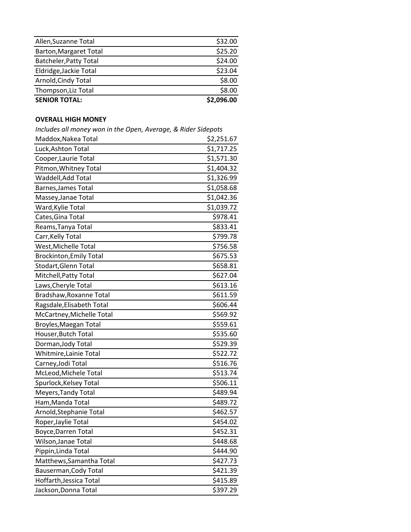| <b>SENIOR TOTAL:</b>   | \$2,096.00 |
|------------------------|------------|
| Thompson, Liz Total    | \$8.00     |
| Arnold, Cindy Total    | \$8.00     |
| Eldridge, Jackie Total | \$23.04    |
| Batcheler, Patty Total | \$24.00    |
| Barton, Margaret Total | \$25.20    |
| Allen, Suzanne Total   | \$32.00    |

## **OVERALL HIGH MONEY**

*Includes all money won in the Open, Average, & Rider Sidepots*

| includes all money won in the Open, Average, & Kider Sluepots |            |
|---------------------------------------------------------------|------------|
| Maddox, Nakea Total                                           | \$2,251.67 |
| Luck, Ashton Total                                            | \$1,717.25 |
| Cooper, Laurie Total                                          | \$1,571.30 |
| Pitmon, Whitney Total                                         | \$1,404.32 |
| Waddell, Add Total                                            | \$1,326.99 |
| Barnes, James Total                                           | \$1,058.68 |
| Massey, Janae Total                                           | \$1,042.36 |
| Ward, Kylie Total                                             | \$1,039.72 |
| Cates, Gina Total                                             | \$978.41   |
| Reams, Tanya Total                                            | \$833.41   |
| Carr, Kelly Total                                             | \$799.78   |
| West, Michelle Total                                          | \$756.58   |
| <b>Brockinton, Emily Total</b>                                | \$675.53   |
| Stodart, Glenn Total                                          | \$658.81   |
| Mitchell, Patty Total                                         | \$627.04   |
| Laws, Cheryle Total                                           | \$613.16   |
| Bradshaw, Roxanne Total                                       | \$611.59   |
| Ragsdale, Elisabeth Total                                     | \$606.44   |
| McCartney, Michelle Total                                     | \$569.92   |
| Broyles, Maegan Total                                         | \$559.61   |
| Houser, Butch Total                                           | \$535.60   |
| Dorman, Jody Total                                            | \$529.39   |
| Whitmire, Lainie Total                                        | \$522.72   |
| Carney, Jodi Total                                            | \$516.76   |
| McLeod, Michele Total                                         | \$513.74   |
| Spurlock, Kelsey Total                                        | \$506.11   |
| Meyers, Tandy Total                                           | \$489.94   |
| Ham, Manda Total                                              | \$489.72   |
| Arnold, Stephanie Total                                       | \$462.57   |
| Roper, Jaylie Total                                           | \$454.02   |
| Boyce, Darren Total                                           | \$452.31   |
| Wilson, Janae Total                                           | \$448.68   |
| Pippin, Linda Total                                           | \$444.90   |
| Matthews, Samantha Total                                      | \$427.73   |
| Bauserman, Cody Total                                         | \$421.39   |
| Hoffarth, Jessica Total                                       | \$415.89   |
| Jackson, Donna Total                                          | \$397.29   |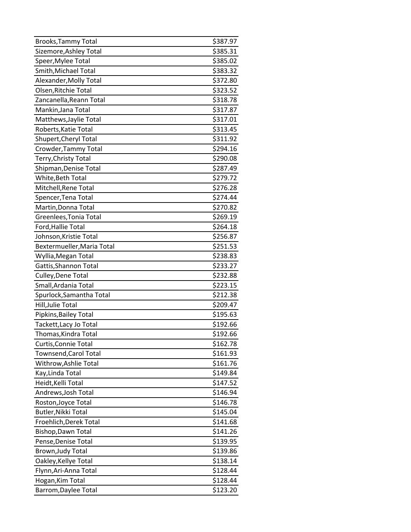| Brooks, Tammy Total        | \$387.97 |
|----------------------------|----------|
| Sizemore, Ashley Total     | \$385.31 |
| Speer, Mylee Total         | \$385.02 |
| Smith, Michael Total       | \$383.32 |
| Alexander, Molly Total     | \$372.80 |
| Olsen, Ritchie Total       | \$323.52 |
| Zancanella, Reann Total    | \$318.78 |
| Mankin, Jana Total         | \$317.87 |
| Matthews, Jaylie Total     | \$317.01 |
| Roberts, Katie Total       | \$313.45 |
| Shupert, Cheryl Total      | \$311.92 |
| Crowder, Tammy Total       | \$294.16 |
| Terry, Christy Total       | \$290.08 |
| Shipman, Denise Total      | \$287.49 |
| White, Beth Total          | \$279.72 |
| Mitchell, Rene Total       | \$276.28 |
| Spencer, Tena Total        | \$274.44 |
| Martin, Donna Total        | \$270.82 |
| Greenlees, Tonia Total     | \$269.19 |
| Ford, Hallie Total         | \$264.18 |
| Johnson, Kristie Total     | \$256.87 |
| Bextermueller, Maria Total | \$251.53 |
| Wyllia, Megan Total        | \$238.83 |
| Gattis, Shannon Total      | \$233.27 |
| Culley, Dene Total         | \$232.88 |
| Small, Ardania Total       | \$223.15 |
| Spurlock, Samantha Total   | \$212.38 |
| Hill, Julie Total          | \$209.47 |
| Pipkins, Bailey Total      | \$195.63 |
| Tackett, Lacy Jo Total     | \$192.66 |
| Thomas, Kindra Total       | \$192.66 |
| Curtis, Connie Total       | \$162.78 |
| Townsend, Carol Total      | \$161.93 |
| Withrow, Ashlie Total      | \$161.76 |
| Kay, Linda Total           | \$149.84 |
| Heidt, Kelli Total         | \$147.52 |
| Andrews, Josh Total        | \$146.94 |
| Roston, Joyce Total        | \$146.78 |
| Butler, Nikki Total        | \$145.04 |
| Froehlich, Derek Total     | \$141.68 |
| Bishop, Dawn Total         | \$141.26 |
| Pense, Denise Total        | \$139.95 |
| Brown, Judy Total          | \$139.86 |
| Oakley, Kellye Total       | \$138.14 |
| Flynn, Ari-Anna Total      | \$128.44 |
| Hogan, Kim Total           | \$128.44 |
| Barrom, Daylee Total       | \$123.20 |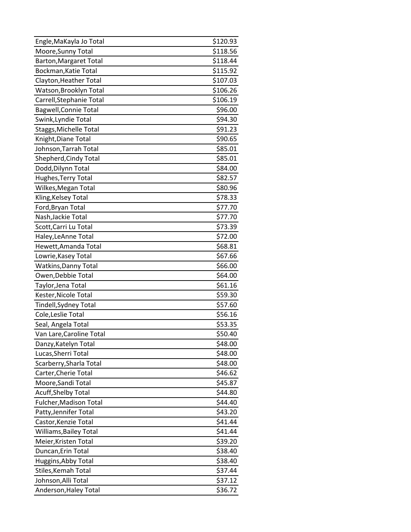| Engle, MaKayla Jo Total       | \$120.93 |
|-------------------------------|----------|
| Moore, Sunny Total            | \$118.56 |
| Barton, Margaret Total        | \$118.44 |
| Bockman, Katie Total          | \$115.92 |
| Clayton, Heather Total        | \$107.03 |
| Watson, Brooklyn Total        | \$106.26 |
| Carrell, Stephanie Total      | \$106.19 |
| <b>Bagwell, Connie Total</b>  | \$96.00  |
| Swink, Lyndie Total           | \$94.30  |
| Staggs, Michelle Total        | \$91.23  |
| Knight, Diane Total           | \$90.65  |
| Johnson, Tarrah Total         | \$85.01  |
| Shepherd, Cindy Total         | \$85.01  |
| Dodd, Dilynn Total            | \$84.00  |
| Hughes, Terry Total           | \$82.57  |
| Wilkes, Megan Total           | \$80.96  |
| Kling, Kelsey Total           | \$78.33  |
| Ford, Bryan Total             | \$77.70  |
| Nash, Jackie Total            | \$77.70  |
| Scott, Carri Lu Total         | \$73.39  |
| Haley, LeAnne Total           | \$72.00  |
| Hewett, Amanda Total          | \$68.81  |
| Lowrie, Kasey Total           | \$67.66  |
| <b>Watkins, Danny Total</b>   | \$66.00  |
| Owen, Debbie Total            | \$64.00  |
| Taylor, Jena Total            | \$61.16  |
| Kester, Nicole Total          | \$59.30  |
| Tindell, Sydney Total         | \$57.60  |
| Cole, Leslie Total            | \$56.16  |
| Seal, Angela Total            | \$53.35  |
| Van Lare, Caroline Total      | \$50.40  |
| Danzy, Katelyn Total          | \$48.00  |
| Lucas, Sherri Total           | \$48.00  |
| Scarberry, Sharla Total       | \$48.00  |
| Carter, Cherie Total          | \$46.62  |
| Moore, Sandi Total            | \$45.87  |
| <b>Acuff, Shelby Total</b>    | \$44.80  |
| Fulcher, Madison Total        | \$44.40  |
| Patty, Jennifer Total         | \$43.20  |
| Castor, Kenzie Total          | \$41.44  |
| <b>Williams, Bailey Total</b> | \$41.44  |
| Meier, Kristen Total          | \$39.20  |
| Duncan, Erin Total            | \$38.40  |
| Huggins, Abby Total           | \$38.40  |
| Stiles, Kemah Total           | \$37.44  |
| Johnson, Alli Total           | \$37.12  |
| Anderson, Haley Total         | \$36.72  |